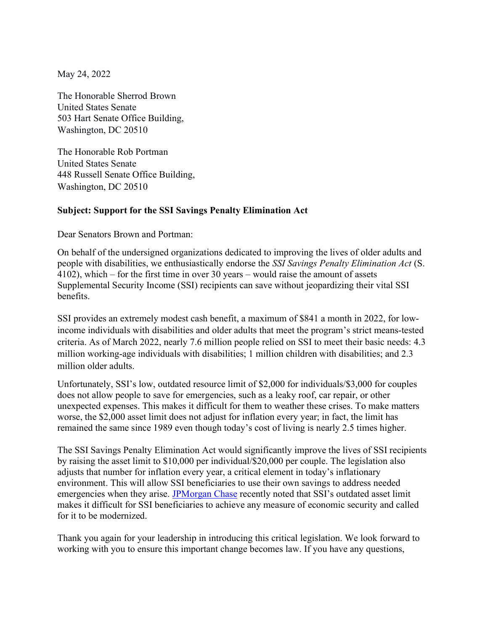May 24, 2022

The Honorable Sherrod Brown United States Senate 503 Hart Senate Office Building, Washington, DC 20510

The Honorable Rob Portman United States Senate 448 Russell Senate Office Building, Washington, DC 20510

## Subject: Support for the SSI Savings Penalty Elimination Act

Dear Senators Brown and Portman:

On behalf of the undersigned organizations dedicated to improving the lives of older adults and people with disabilities, we enthusiastically endorse the SSI Savings Penalty Elimination Act (S. 4102), which – for the first time in over 30 years – would raise the amount of assets Supplemental Security Income (SSI) recipients can save without jeopardizing their vital SSI benefits.

SSI provides an extremely modest cash benefit, a maximum of \$841 a month in 2022, for lowincome individuals with disabilities and older adults that meet the program's strict means-tested criteria. As of March 2022, nearly 7.6 million people relied on SSI to meet their basic needs: 4.3 million working-age individuals with disabilities; 1 million children with disabilities; and 2.3 million older adults.

Unfortunately, SSI's low, outdated resource limit of \$2,000 for individuals/\$3,000 for couples does not allow people to save for emergencies, such as a leaky roof, car repair, or other unexpected expenses. This makes it difficult for them to weather these crises. To make matters worse, the \$2,000 asset limit does not adjust for inflation every year; in fact, the limit has remained the same since 1989 even though today's cost of living is nearly 2.5 times higher.

The SSI Savings Penalty Elimination Act would significantly improve the lives of SSI recipients by raising the asset limit to \$10,000 per individual/\$20,000 per couple. The legislation also adjusts that number for inflation every year, a critical element in today's inflationary environment. This will allow SSI beneficiaries to use their own savings to address needed emergencies when they arise. JPMorgan Chase recently noted that SSI's outdated asset limit makes it difficult for SSI beneficiaries to achieve any measure of economic security and called for it to be modernized.

Thank you again for your leadership in introducing this critical legislation. We look forward to working with you to ensure this important change becomes law. If you have any questions,